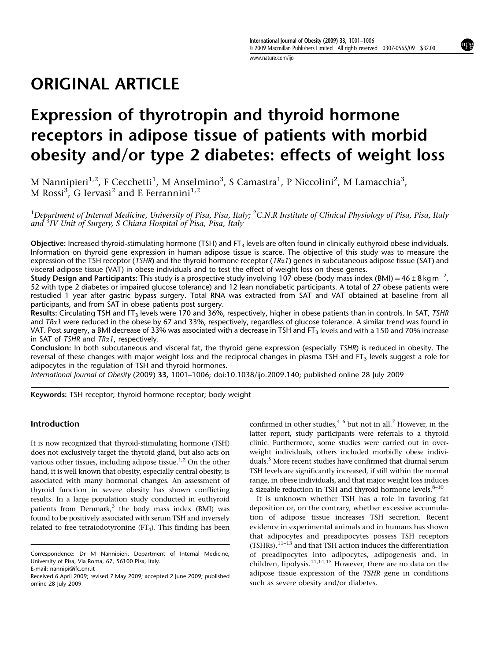[www.nature.com/ijo](http://www.nature.com/ijo)

# ORIGINAL ARTICLE

# Expression of thyrotropin and thyroid hormone receptors in adipose tissue of patients with morbid obesity and/or type 2 diabetes: effects of weight loss

M Nannipieri $^{1,2}$ , F Cecchetti $^1$ , M Anselmino $^3$ , S Camastra $^1$ , P Niccolini $^2$ , M Lamacchia $^3$ , M Rossi $^3$ , G Iervasi<sup>2</sup> and E Ferrannini<sup>1,2</sup>

 $^1$ Department of Internal Medicine, University of Pisa, Pisa, Italy;  $^2$ C.N.R Institute of Clinical Physiology of Pisa, Pisa, Italy and <sup>3</sup>IV Unit of Surgery, S Chiara Hospital of Pisa, Pisa, Italy

Objective: Increased thyroid-stimulating hormone (TSH) and FT<sub>3</sub> levels are often found in clinically euthyroid obese individuals. Information on thyroid gene expression in human adipose tissue is scarce. The objective of this study was to measure the expression of the TSH receptor (TSHR) and the thyroid hormone receptor (TR $\alpha$ 1) genes in subcutaneous adipose tissue (SAT) and visceral adipose tissue (VAT) in obese individuals and to test the effect of weight loss on these genes.

**Study Design and Participants:** This study is a prospective study involving 107 obese (body mass index (BMI) = 46 ± 8 kg m<sup>-2</sup>, 52 with type 2 diabetes or impaired glucose tolerance) and 12 lean nondiabetic participants. A total of 27 obese patients were restudied 1 year after gastric bypass surgery. Total RNA was extracted from SAT and VAT obtained at baseline from all participants, and from SAT in obese patients post surgery.

Results: Circulating TSH and FT3 levels were 170 and 36%, respectively, higher in obese patients than in controls. In SAT, TSHR and  $TRa1$  were reduced in the obese by 67 and 33%, respectively, regardless of glucose tolerance. A similar trend was found in VAT. Post surgery, a BMI decrease of 33% was associated with a decrease in TSH and FT<sub>3</sub> levels and with a 150 and 70% increase in SAT of TSHR and  $TR\alpha 1$ , respectively.

Conclusion: In both subcutaneous and visceral fat, the thyroid gene expression (especially TSHR) is reduced in obesity. The reversal of these changes with major weight loss and the reciprocal changes in plasma TSH and FT<sub>3</sub> levels suggest a role for adipocytes in the regulation of TSH and thyroid hormones.

International Journal of Obesity (2009) 33, 1001–1006; doi[:10.1038/ijo.2009.140;](http://dx.doi.org/10.1038/ijo.2009.40) published online 28 July 2009

Keywords: TSH receptor; thyroid hormone receptor; body weight

## Introduction

It is now recognized that thyroid-stimulating hormone (TSH) does not exclusively target the thyroid gland, but also acts on various other tissues, including adipose tissue.<sup>1,2</sup> On the other hand, it is well known that obesity, especially central obesity, is associated with many hormonal changes. An assessment of thyroid function in severe obesity has shown conflicting results. In a large population study conducted in euthyroid patients from Denmark, $3$  the body mass index (BMI) was found to be positively associated with serum TSH and inversely related to free tetraiodotyronine  $(FT<sub>4</sub>)$ . This finding has been

confirmed in other studies,  $4-6$  but not in all.<sup>7</sup> However, in the latter report, study participants were referrals to a thyroid clinic. Furthermore, some studies were carried out in overweight individuals, others included morbidly obese individuals.5 More recent studies have confirmed that diurnal serum TSH levels are significantly increased, if still within the normal range, in obese individuals, and that major weight loss induces a sizeable reduction in TSH and thyroid hormone levels. $8-10$ 

It is unknown whether TSH has a role in favoring fat deposition or, on the contrary, whether excessive accumulation of adipose tissue increases TSH secretion. Recent evidence in experimental animals and in humans has shown that adipocytes and preadipocytes possess TSH receptors  $(TSHRs)$ ,  $^{11-13}$  and that TSH action induces the differentiation of preadipocytes into adipocytes, adipogenesis and, in children, lipolysis.11,14,15 However, there are no data on the adipose tissue expression of the TSHR gene in conditions such as severe obesity and/or diabetes.

Correspondence: Dr M Nannipieri, Department of Internal Medicine, University of Pisa, Via Roma, 67, 56100 Pisa, Italy. E-mail: [nannipi@ifc.cnr.it](mailto:nannipi@ifc.cnr.it)

Received 6 April 2009; revised 7 May 2009; accepted 2 June 2009; published online 28 July 2009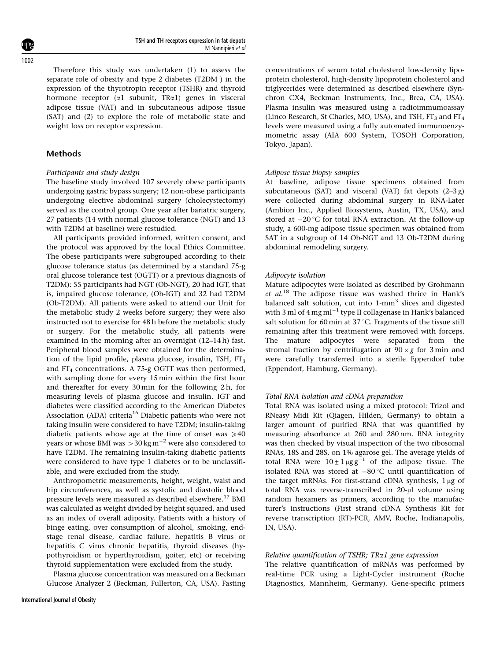Therefore this study was undertaken (1) to assess the separate role of obesity and type 2 diabetes (T2DM ) in the expression of the thyrotropin receptor (TSHR) and thyroid hormone receptor ( $\alpha$ 1 subunit, TR $\alpha$ 1) genes in visceral adipose tissue (VAT) and in subcutaneous adipose tissue (SAT) and (2) to explore the role of metabolic state and weight loss on receptor expression.

## Methods

### Participants and study design

The baseline study involved 107 severely obese participants undergoing gastric bypass surgery; 12 non-obese participants undergoing elective abdominal surgery (cholecystectomy) served as the control group. One year after bariatric surgery, 27 patients (14 with normal glucose tolerance (NGT) and 13 with T2DM at baseline) were restudied.

All participants provided informed, written consent, and the protocol was approved by the local Ethics Committee. The obese participants were subgrouped according to their glucose tolerance status (as determined by a standard 75-g oral glucose tolerance test (OGTT) or a previous diagnosis of T2DM): 55 participants had NGT (Ob-NGT), 20 had IGT, that is, impaired glucose tolerance, (Ob-IGT) and 32 had T2DM (Ob-T2DM). All patients were asked to attend our Unit for the metabolic study 2 weeks before surgery; they were also instructed not to exercise for 48 h before the metabolic study or surgery. For the metabolic study, all patients were examined in the morning after an overnight (12–14 h) fast. Peripheral blood samples were obtained for the determination of the lipid profile, plasma glucose, insulin, TSH,  $FT<sub>3</sub>$ and  $FT_4$  concentrations. A 75-g OGTT was then performed, with sampling done for every 15 min within the first hour and thereafter for every 30 min for the following 2 h, for measuring levels of plasma glucose and insulin. IGT and diabetes were classified according to the American Diabetes Association (ADA) criteria<sup>16</sup> Diabetic patients who were not taking insulin were considered to have T2DM; insulin-taking diabetic patients whose age at the time of onset was  $\geq 40$ years or whose BMI was  $>$  30 kg m $^{-2}$  were also considered to have T2DM. The remaining insulin-taking diabetic patients were considered to have type 1 diabetes or to be unclassifiable, and were excluded from the study.

Anthropometric measurements, height, weight, waist and hip circumferences, as well as systolic and diastolic blood pressure levels were measured as described elsewhere.<sup>17</sup> BMI was calculated as weight divided by height squared, and used as an index of overall adiposity. Patients with a history of binge eating, over consumption of alcohol, smoking, endstage renal disease, cardiac failure, hepatitis B virus or hepatitis C virus chronic hepatitis, thyroid diseases (hypothyroidism or hyperthyroidism, goiter, etc) or receiving thyroid supplementation were excluded from the study.

Plasma glucose concentration was measured on a Beckman Glucose Analyzer 2 (Beckman, Fullerton, CA, USA). Fasting concentrations of serum total cholesterol low-density lipoprotein cholesterol, high-density lipoprotein cholesterol and triglycerides were determined as described elsewhere (Synchron CX4, Beckman Instruments, Inc., Brea, CA, USA). Plasma insulin was measured using a radioimmumoassay (Linco Research, St Charles, MO, USA), and TSH,  $FT<sub>3</sub>$  and  $FT<sub>4</sub>$ levels were measured using a fully automated immunoenzymometric assay (AIA 600 System, TOSOH Corporation, Tokyo, Japan).

## Adipose tissue biopsy samples

At baseline, adipose tissue specimens obtained from subcutaneous (SAT) and visceral (VAT) fat depots (2–3 g) were collected during abdominal surgery in RNA-Later (Ambion Inc., Applied Biosystems, Austin, TX, USA), and stored at  $-20$  °C for total RNA extraction. At the follow-up study, a 600-mg adipose tissue specimen was obtained from SAT in a subgroup of 14 Ob-NGT and 13 Ob-T2DM during abdominal remodeling surgery.

## Adipocyte isolation

Mature adipocytes were isolated as described by Grohmann et  $al.^{18}$  The adipose tissue was washed thrice in Hank's balanced salt solution, cut into 1-mm<sup>3</sup> slices and digested with 3 ml of  $4 \,\rm{mg}\,ml^{-1}$  type II collagenase in Hank's balanced salt solution for 60 min at 37 °C. Fragments of the tissue still remaining after this treatment were removed with forceps. The mature adipocytes were separated from the stromal fraction by centrifugation at  $90 \times g$  for 3 min and were carefully transferred into a sterile Eppendorf tube (Eppendorf, Hamburg, Germany).

#### Total RNA isolation and cDNA preparation

Total RNA was isolated using a mixed protocol: Trizol and RNeasy Midi Kit (Qiagen, Hilden, Germany) to obtain a larger amount of purified RNA that was quantified by measuring absorbance at 260 and 280 nm. RNA integrity was then checked by visual inspection of the two ribosomal RNAs, 18S and 28S, on 1% agarose gel. The average yields of total RNA were  $10 \pm 1 \mu g g^{-1}$  of the adipose tissue. The isolated RNA was stored at  $-80^{\circ}$ C until quantification of the target mRNAs. For first-strand cDNA synthesis,  $1 \mu$ g of total RNA was reverse-transcribed in 20-µl volume using random hexamers as primers, according to the manufacturer's instructions (First strand cDNA Synthesis Kit for reverse transcription (RT)-PCR, AMV, Roche, Indianapolis, IN, USA).

#### Relative quantification of TSHR; TRa1 gene expression

The relative quantification of mRNAs was performed by real-time PCR using a Light-Cycler instrument (Roche Diagnostics, Mannheim, Germany). Gene-specific primers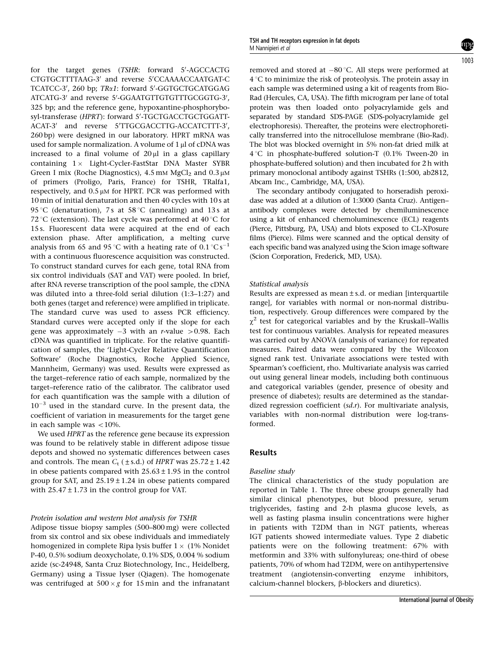for the target genes (TSHR: forward 5'-AGCCACTG CTGTGCTTTTAAG-3' and reverse 5'CCAAAACCAATGAT-C TCATCC-3', 260 bp; TRa1: forward 5'-GGTGCTGCATGGAG ATCATG-3' and reverse 5'-GGAATGTTGTGTTTGCGGTG-3', 325 bp; and the reference gene, hypoxantine-phosphorybosyl-transferase (HPRT): forward 5'-TGCTGACCTGCTGGATT-ACAT-3' and reverse 5'TTGCGACCTTG-ACCATCTTT-3', 260 bp) were designed in our laboratory. HPRT mRNA was used for sample normalization. A volume of  $1 \mu$ l of cDNA was increased to a final volume of  $20 \mu l$  in a glass capillary containing  $1 \times$  Light-Cycler-FastStar DNA Master SYBR Green I mix (Roche Diagnostics),  $4.5$  mM MgCl<sub>2</sub> and  $0.3 \mu$ M of primers (Proligo, Paris, France) for TSHR, TRalfa1, respectively, and  $0.5 \mu$ M for HPRT. PCR was performed with 10 min of initial denaturation and then 40 cycles with 10 s at 95 °C (denaturation), 7s at 58 °C (annealing) and 13s at 72 °C (extension). The last cycle was performed at  $40$  °C for 15 s. Fluorescent data were acquired at the end of each extension phase. After amplification, a melting curve analysis from 65 and 95 °C with a heating rate of 0.1 °C s $^{-1}$ with a continuous fluorescence acquisition was constructed. To construct standard curves for each gene, total RNA from six control individuals (SAT and VAT) were pooled. In brief, after RNA reverse transcription of the pool sample, the cDNA was diluted into a three-fold serial dilution (1:3–1:27) and both genes (target and reference) were amplified in triplicate. The standard curve was used to assess PCR efficiency. Standard curves were accepted only if the slope for each gene was approximately  $-3$  with an r-value  $>$  0.98. Each cDNA was quantified in triplicate. For the relative quantification of samples, the 'Light-Cycler Relative Quantification Software' (Roche Diagnostics, Roche Applied Science, Mannheim, Germany) was used. Results were expressed as the target–reference ratio of each sample, normalized by the target–reference ratio of the calibrator. The calibrator used for each quantification was the sample with a dilution of  $10^{-3}$  used in the standard curve. In the present data, the coefficient of variation in measurements for the target gene in each sample was  $<$  10%.

We used HPRT as the reference gene because its expression was found to be relatively stable in different adipose tissue depots and showed no systematic differences between cases and controls. The mean  $C_t$  ( $\pm$  s.d.) of HPRT was 25.72 $\pm$ 1.42 in obese patients compared with  $25.63 \pm 1.95$  in the control group for SAT, and  $25.19 \pm 1.24$  in obese patients compared with  $25.47 \pm 1.73$  in the control group for VAT.

#### Protein isolation and western blot analysis for TSHR

Adipose tissue biopsy samples (500–800 mg) were collected from six control and six obese individuals and immediately homogenized in complete Ripa lysis buffer  $1 \times (1\%$  Nonidet P-40, 0.5% sodium deoxycholate, 0.1% SDS, 0.004 % sodium azide (sc-24948, Santa Cruz Biotechnology, Inc., Heidelberg, Germany) using a Tissue lyser (Qiagen). The homogenate was centrifuged at  $500 \times g$  for 15 min and the infranatant

removed and stored at  $-80^{\circ}$ C. All steps were performed at 4 1C to minimize the risk of proteolysis. The protein assay in each sample was determined using a kit of reagents from Bio-Rad (Hercules, CA, USA). The fifth microgram per lane of total protein was then loaded onto polyacrylamide gels and separated by standard SDS-PAGE (SDS-polyacrylamide gel electrophoresis). Thereafter, the proteins were electrophoretically transferred into the nitrocellulose membrane (Bio-Rad). The blot was blocked overnight in 5% non-fat dried milk at 4 1C in phosphate-buffered solution-T (0.1% Tween-20 in phosphate-buffered solution) and then incubated for 2 h with primary monoclonal antibody against TSHRs (1:500, ab2812, Abcam Inc., Cambridge, MA, USA).

The secondary antibody conjugated to horseradish peroxidase was added at a dilution of 1:3000 (Santa Cruz). Antigen– antibody complexes were detected by chemiluminescence using a kit of enhanced chemoluminescence (ECL) reagents (Pierce, Pittsburg, PA, USA) and blots exposed to CL-XPosure films (Pierce). Films were scanned and the optical density of each specific band was analyzed using the Scion image software (Scion Corporation, Frederick, MD, USA).

#### Statistical analysis

Results are expressed as mean  $\pm$  s.d. or median [interquartile range], for variables with normal or non-normal distribution, respectively. Group differences were compared by the  $\chi^2$  test for categorical variables and by the Kruskall–Wallis test for continuous variables. Analysis for repeated measures was carried out by ANOVA (analysis of variance) for repeated measures. Paired data were compared by the Wilcoxon signed rank test. Univariate associations were tested with Spearman's coefficient, rho. Multivariate analysis was carried out using general linear models, including both continuous and categorical variables (gender, presence of obesity and presence of diabetes); results are determined as the standardized regression coefficient  $(sd.r)$ . For multivariate analysis, variables with non-normal distribution were log-transformed.

## Results

### Baseline study

The clinical characteristics of the study population are reported in Table 1. The three obese groups generally had similar clinical phenotypes, but blood pressure, serum triglycerides, fasting and 2-h plasma glucose levels, as well as fasting plasma insulin concentrations were higher in patients with T2DM than in NGT patients, whereas IGT patients showed intermediate values. Type 2 diabetic patients were on the following treatment: 67% with metformin and 33% with sulfonylureas; one-third of obese patients, 70% of whom had T2DM, were on antihypertensive treatment (angiotensin-converting enzyme inhibitors, calcium-channel blockers, b-blockers and diuretics).

International Journal of Obesity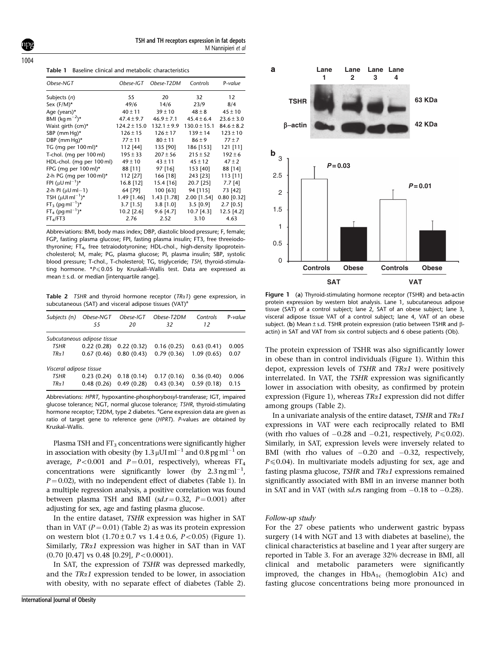1004

Table 1 Baseline clinical and metabolic characteristics

| Obese-NGT                               | Obese-IGT        | Obese-T2DM      | Controls         | P-value        |
|-----------------------------------------|------------------|-----------------|------------------|----------------|
| Subjects (n)                            | 55               | 20              | 32               | 12             |
| Sex $(F/M)^*$                           | 49/6             | 14/6            | 23/9             | 8/4            |
| Age (years)*                            | $40 \pm 11$      | $39 \pm 10$     | $48 \pm 8$       | $45 \pm 10$    |
| BMI (kg m <sup><math>-2</math></sup> )* | $47.4 \pm 9.7$   | $46.9 \pm 7.1$  | $45.4 \pm 6.4$   | $23.6 \pm 3.0$ |
| Waist girth (cm)*                       | $124.2 \pm 15.0$ | $132.1 \pm 9.9$ | $130.0 \pm 15.1$ | $84.6 \pm 8.2$ |
| SBP (mm Hg)*                            | $126 \pm 15$     | $126 \pm 17$    | $139 \pm 14$     | $123 \pm 10$   |
| DBP (mm Hg) $*$                         | $77 \pm 11$      | $80 \pm 11$     | $86 \pm 9$       | $77 + 7$       |
| TG (mg per $100$ ml)*                   | 112 [44]         | 135 [90]        | 186 [153]        | 121 [11]       |
| T-chol. (mg per 100 ml)                 | $195 \pm 33$     | $207 \pm 56$    | $215 \pm 52$     | $192 \pm 6$    |
| HDL-chol. (mg per 100 ml)               | $49 \pm 10$      | $43 \pm 11$     | $45 \pm 12$      | $47 \pm 2$     |
| FPG (mg per $100$ ml)*                  | 88 [11]          | 97 [16]         | 153 [40]         | 88 [14]        |
| 2-h PG (mg per $100$ ml)*               | 112 [27]         | 166 [18]        | 243 [23]         | 113 [11]       |
| FPI $(uU \text{ ml}^{-1})^*$            | 16.8 [12]        | 15.4 [16]       | 20.7 [25]        | $7.7$ [4]      |
| 2-h PI ( $\mu$ U ml $-1$ )              | 64 [79]          | 100 [63]        | 94 [115]         | 73 [42]        |
| TSH $(\mu U Im l^{-1})^*$               | $1.49$ [1.46]    | $1.43$ [1.78]   | 2.00 [1.54]      | $0.80$ [0.32]  |
| $FT_3$ (pq m $I^{-1}$ )*                | $3.7$ [1.5]      | $3.8$ [1.0]     | $3.5$ [0.9]      | $2.7$ [0.5]    |
| $FT_4$ (pg m $I^{-1}$ )*                | 10.2 [2.6]       | 9.6 [4.7]       | $10.7$ [4.3]     | $12.5$ [4.2]   |
| $FT_4/FT3$                              | 2.76             | 2.52            | 3.10             | 4.63           |

Abbreviations: BMI, body mass index; DBP, diastolic blood pressure; F, female; FGP, fasting plasma glucose; FPI, fasting plasma insulin; FT3, free threeiodothyronine; FT<sub>4</sub>, free tetraiodotyronine; HDL-chol., high-density lipoproteincholesterol; M, male; PG, plasma glucose; PI, plasma insulin; SBP, systolic blood pressure; T-chol., T-cholesterol; TG, triglyceride; TSH, thyroid-stimulating hormone. \* $P \le 0.05$  by Kruskall–Wallis test. Data are expressed as mean  $\pm$  s.d. or median [interquartile range].

Table 2 TSHR and thyroid hormone receptor  $(TR\alpha 1)$  gene expression, in subcutaneous (SAT) and visceral adipose tissues (VAT)<sup>a</sup>

| Subjects (n)            | Obese-NGT<br>55             | Obese-IGT<br>20 | Obese-T2DM<br>32 | Controls<br>12 | P-value |
|-------------------------|-----------------------------|-----------------|------------------|----------------|---------|
|                         | Subcutaneous adipose tissue |                 |                  |                |         |
| <b>TSHR</b>             | 0.22(0.28)                  | 0.22(0.32)      | 0.16(0.25)       | 0.63(0.41)     | 0.005   |
| $TR \alpha 1$           | 0.67(0.46)                  | 0.80(0.43)      | 0.79(0.36)       | 1.09(0.65)     | 0.07    |
| Visceral adipose tissue |                             |                 |                  |                |         |
| <b>TSHR</b>             | 0.23(0.24)                  | 0.18(0.14)      | 0.17(0.16)       | 0.36(0.40)     | 0.006   |
| $TR\alpha$ 1            | 0.48(0.26)                  | 0.49(0.28)      | 0.43(0.34)       | 0.59(0.18)     | 0.15    |

Abbreviations: HPRT, hypoxantine-phosphorybosyl-transferase; IGT, impaired glucose tolerance; NGT, normal glucose tolerance; TSHR, thyroid-stimulating hormone receptor; T2DM, type 2 diabetes. <sup>a</sup>Gene expression data are given as ratio of target gene to reference gene (HPRT). P-values are obtained by Kruskal–Wallis.

Plasma TSH and  $FT_3$  concentrations were significantly higher in association with obesity (by  $1.3\,\mathrm{\upmu U}$ I ml $^{-1}$  and  $0.8\,\mathrm{pg\,ml}^{-1}$  on average,  $P < 0.001$  and  $P = 0.01$ , respectively), whereas FT<sub>4</sub> concentrations were significantly lower (by  $2.3 \text{ ng ml}^{-1}$ ,  $P = 0.02$ ), with no independent effect of diabetes (Table 1). In a multiple regression analysis, a positive correlation was found between plasma TSH and BMI ( $sd.r = 0.32$ ,  $P = 0.001$ ) after adjusting for sex, age and fasting plasma glucose.

In the entire dataset, TSHR expression was higher in SAT than in VAT ( $P = 0.01$ ) (Table 2) as was its protein expression on western blot  $(1.70 \pm 0.7 \text{ vs } 1.4 \pm 0.6, P < 0.05)$  (Figure 1). Similarly,  $TR\alpha1$  expression was higher in SAT than in VAT  $(0.70 \, [0.47] \, \text{vs } 0.48 \, [0.29], \, P < 0.0001).$ 

In SAT, the expression of TSHR was depressed markedly, and the  $TR\alpha1$  expression tended to be lower, in association with obesity, with no separate effect of diabetes (Table 2).



Figure 1 (a) Thyroid-stimulating hormone receptor (TSHR) and beta-actin protein expression by western blot analysis. Lane 1, subcutaneous adipose tissue (SAT) of a control subject; lane 2, SAT of an obese subject; lane 3, visceral adipose tissue VAT of a control subject; lane 4, VAT of an obese subject. (b) Mean  $\pm$  s.d. TSHR protein expression (ratio between TSHR and  $\beta$ actin) in SAT and VAT from six control subjects and 6 obese patients (Ob).

The protein expression of TSHR was also significantly lower in obese than in control individuals (Figure 1). Within this depot, expression levels of TSHR and  $T R \alpha 1$  were positively interrelated. In VAT, the TSHR expression was significantly lower in association with obesity, as confirmed by protein expression (Figure 1), whereas  $TR\alpha1$  expression did not differ among groups (Table 2).

In a univariate analysis of the entire dataset, TSHR and  $TR\alpha1$ expressions in VAT were each reciprocally related to BMI (with rho values of  $-0.28$  and  $-0.21$ , respectively,  $P \le 0.02$ ). Similarly, in SAT, expression levels were inversely related to BMI (with rho values of  $-0.20$  and  $-0.32$ , respectively,  $P \le 0.04$ ). In multivariate models adjusting for sex, age and fasting plasma glucose, TSHR and  $TR\alpha1$  expressions remained significantly associated with BMI in an inverse manner both in SAT and in VAT (with *sd.rs* ranging from  $-0.18$  to  $-0.28$ ).

#### Follow-up study

For the 27 obese patients who underwent gastric bypass surgery (14 with NGT and 13 with diabetes at baseline), the clinical characteristics at baseline and 1 year after surgery are reported in Table 3. For an average 32% decrease in BMI, all clinical and metabolic parameters were significantly improved, the changes in  $HbA_{1c}$  (hemoglobin A1c) and fasting glucose concentrations being more pronounced in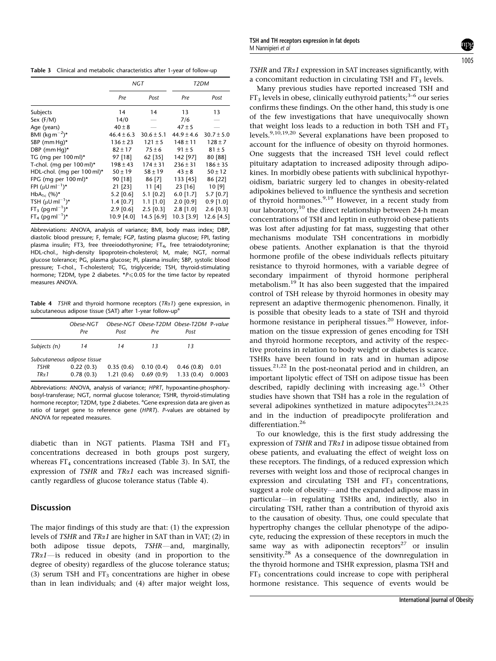Table 3 Clinical and metabolic characteristics after 1-year of follow-up

|                                 | NGT            |                | T <sub>2</sub> DM |                |
|---------------------------------|----------------|----------------|-------------------|----------------|
|                                 | Pre            | Post           | Pre               | Post           |
| Subjects                        | 14             | 14             | 13                | 13             |
| Sex (F/M)                       | 14/0           | --             | 7/6               |                |
| Age (years)                     | $40 \pm 8$     |                | $47 \pm 5$        |                |
| BMI $(\text{kg m}^{-2})^*$      | $46.4 \pm 6.3$ | $30.6 \pm 5.1$ | $44.9 \pm 4.6$    | $30.7 \pm 5.0$ |
| SBP (mm Hg)*                    | $136 \pm 23$   | $121 \pm 5$    | $148 \pm 11$      | $128 \pm 7$    |
| DBP (mm Hq) $*$                 | $82 \pm 17$    | $75 \pm 6$     | $91 \pm 5$        | $81 \pm 5$     |
| TG (mg per $100$ ml)*           | 97 [18]        | 62 [35]        | 142 [97]          | 80 [88]        |
| T-chol. (mg per $100$ ml)*      | $198 \pm 43$   | $174 \pm 31$   | $236 \pm 31$      | $186 \pm 35$   |
| HDL-chol. (mg per 100 ml)*      | $50 \pm 19$    | $58 \pm 19$    | $43 \pm 8$        | $50 \pm 12$    |
| FPG (mg per 100 ml)*            | 90 [18]        | 86 [7]         | 133 [45]          | 86 [22]        |
| FPI $(\mu U \text{ ml}^{-1})^*$ | $21$ [23]      | 11 [4]         | $23$ [16]         | 10[9]          |
| $HbA_{1c}$ (%)*                 | $5.2$ [0.6]    | $5.1$ [0.2]    | $6.0$ [1.7]       | 5.7 [0.7]      |
| TSH $(\mu U \text{ ml}^{-1})^*$ | $1.4$ [0.7]    | $1.1$ [1.0]    | $2.0$ [0.9]       | $0.9$ [1.0]    |
| $FT_3$ (pg m $I^{-1}$ )*        | $2.9$ [0.6]    | $2.5$ [0.3]    | $2.8$ [1.0]       | $2.6$ [0.3]    |
| $FT_4$ (pg m $I^{-1}$ )*        | 10.9 [4.0]     | 14.5 [6.9]     | $10.3$ [3.9]      | 12.6 [4.5]     |

Abbreviations: ANOVA, analysis of variance; BMI, body mass index; DBP, diastolic blood pressure; F, female; FGP, fasting plasma glucose; FPI, fasting plasma insulin; FT3, free threeiodothyronine; FT<sub>4</sub>, free tetraiodotyronine; HDL-chol., high-density lipoprotein-cholesterol; M, male; NGT, normal glucose tolerance; PG, plasma glucose; PI, plasma insulin; SBP, systolic blood pressure; T-chol., T-cholesterol; TG, triglyceride; TSH, thyroid-stimulating hormone; T2DM, type 2 diabetes. \* $P \le 0.05$  for the time factor by repeated measures ANOVA.

Table 4  $TSHR$  and thyroid hormone receptors (TR $\alpha$ 1) gene expression, in subcutaneous adipose tissue (SAT) after 1-year follow-up<sup>a</sup>

|                             | Ohese-NGT<br>Pre | Post      | Pre       | Obese-NGT Obese-T2DM Obese-T2DM P-value<br>Post |        |
|-----------------------------|------------------|-----------|-----------|-------------------------------------------------|--------|
| Subjects (n)                | 14               | 14        | 13        | 13                                              |        |
| Subcutaneous adipose tissue |                  |           |           |                                                 |        |
| <b>TSHR</b>                 | 0.22(0.3)        | 0.35(0.6) | 0.10(0.4) | 0.46(0.8)                                       | 0.01   |
| $TR \alpha 1$               | 0.78(0.3)        | 1.21(0.6) | 0.69(0.9) | 1.33(0.4)                                       | 0.0003 |

Abbreviations: ANOVA, analysis of variance; HPRT, hypoxantine-phosphorybosyl-transferase; NGT, normal glucose tolerance; TSHR, thyroid-stimulating hormone receptor; T2DM, type 2 diabetes. <sup>a</sup>Gene expression data are given as ratio of target gene to reference gene (HPRT). P-values are obtained by ANOVA for repeated measures.

diabetic than in NGT patients. Plasma TSH and  $FT<sub>3</sub>$ concentrations decreased in both groups post surgery, whereas  $FT_4$  concentrations increased (Table 3). In SAT, the expression of TSHR and  $TR\alpha1$  each was increased significantly regardless of glucose tolerance status (Table 4).

## **Discussion**

The major findings of this study are that: (1) the expression levels of TSHR and  $TR\alpha1$  are higher in SAT than in VAT; (2) in both adipose tissue depots, TSHR-and, marginally,  $TR\alpha1$ —is reduced in obesity (and in proportion to the degree of obesity) regardless of the glucose tolerance status; (3) serum TSH and  $FT_3$  concentrations are higher in obese than in lean individuals; and (4) after major weight loss,

TSHR and  $TR\alpha1$  expression in SAT increases significantly, with a concomitant reduction in circulating TSH and  $FT<sub>3</sub>$  levels.

Many previous studies have reported increased TSH and  $FT<sub>3</sub>$  levels in obese, clinically euthyroid patients;<sup>3–6</sup> our series confirms these findings. On the other hand, this study is one of the few investigations that have unequivocally shown that weight loss leads to a reduction in both TSH and  $FT<sub>3</sub>$ levels.<sup>9,10,19,20</sup> Several explanations have been proposed to account for the influence of obesity on thyroid hormones. One suggests that the increased TSH level could reflect pituitary adaptation to increased adiposity through adipokines. In morbidly obese patients with subclinical hypothyroidism, bariatric surgery led to changes in obesity-related adipokines believed to influence the synthesis and secretion of thyroid hormones.<sup>9,19</sup> However, in a recent study from our laboratory, $10$  the direct relationship between 24-h mean concentrations of TSH and leptin in euthyroid obese patients was lost after adjusting for fat mass, suggesting that other mechanisms modulate TSH concentrations in morbidly obese patients. Another explanation is that the thyroid hormone profile of the obese individuals reflects pituitary resistance to thyroid hormones, with a variable degree of secondary impairment of thyroid hormone peripheral metabolism.19 It has also been suggested that the impaired control of TSH release by thyroid hormones in obesity may represent an adaptive thermogenic phenomenon. Finally, it is possible that obesity leads to a state of TSH and thyroid hormone resistance in peripheral tissues.<sup>20</sup> However, information on the tissue expression of genes encoding for TSH and thyroid hormone receptors, and activity of the respective proteins in relation to body weight or diabetes is scarce. TSHRs have been found in rats and in human adipose tissues.<sup>21,22</sup> In the post-neonatal period and in children, an important lipolytic effect of TSH on adipose tissue has been described, rapidly declining with increasing age.<sup>15</sup> Other studies have shown that TSH has a role in the regulation of several adipokines synthetized in mature adipocytes<sup>23,24,25</sup> and in the induction of preadipocyte proliferation and differentiation.<sup>26</sup>

To our knowledge, this is the first study addressing the expression of TSHR and  $TR\alpha1$  in adipose tissue obtained from obese patients, and evaluating the effect of weight loss on these receptors. The findings, of a reduced expression which reverses with weight loss and those of reciprocal changes in expression and circulating TSH and  $FT<sub>3</sub>$  concentrations, suggest a role of obesity—and the expanded adipose mass in particular—in regulating TSHRs and, indirectly, also in circulating TSH, rather than a contribution of thyroid axis to the causation of obesity. Thus, one could speculate that hypertrophy changes the cellular phenotype of the adipocyte, reducing the expression of these receptors in much the same way as with adiponectin receptors $27$  or insulin sensitivity.28 As a consequence of the downregulation in the thyroid hormone and TSHR expression, plasma TSH and  $FT<sub>3</sub>$  concentrations could increase to cope with peripheral hormone resistance. This sequence of events would be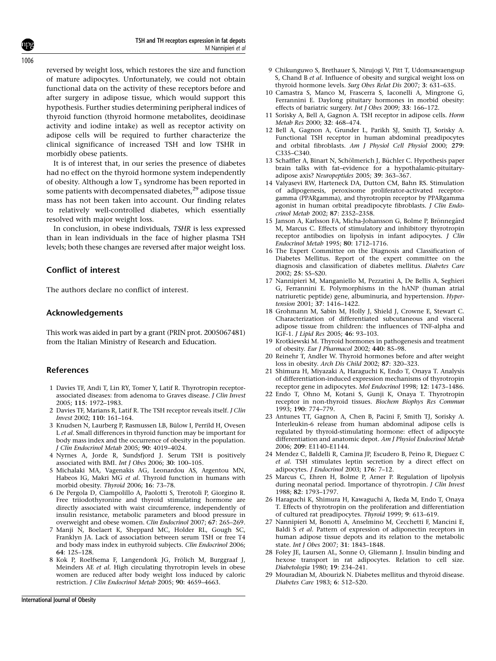reversed by weight loss, which restores the size and function of mature adipocytes. Unfortunately, we could not obtain functional data on the activity of these receptors before and after surgery in adipose tissue, which would support this hypothesis. Further studies determining peripheral indices of thyroid function (thyroid hormone metabolites, deoidinase activity and iodine intake) as well as receptor activity on adipose cells will be required to further characterize the clinical significance of increased TSH and low TSHR in morbidly obese patients.

It is of interest that, in our series the presence of diabetes had no effect on the thyroid hormone system independently of obesity. Although a low  $T_3$  syndrome has been reported in some patients with decompensated diabetes, $^{29}$  adipose tissue mass has not been taken into account. Our finding relates to relatively well-controlled diabetes, which essentially resolved with major weight loss.

In conclusion, in obese individuals, TSHR is less expressed than in lean individuals in the face of higher plasma TSH levels; both these changes are reversed after major weight loss.

## Conflict of interest

The authors declare no conflict of interest.

## Acknowledgements

This work was aided in part by a grant (PRIN prot. 2005067481) from the Italian Ministry of Research and Education.

## References

- 1 Davies TF, Andi T, Lin RY, Tomer Y, Latif R. Thyrotropin receptorassociated diseases: from adenoma to Graves disease. J Clin Invest 2005; 115: 1972–1983.
- 2 Davies TF, Marians R, Latif R. The TSH receptor reveals itself. J Clin Invest 2002; 110: 161–164.
- 3 Knudsen N, Laurberg P, Rasmussen LB, Bülow I, Perrild H, Ovesen L et al. Small differences in thyroid function may be important for body mass index and the occurrence of obesity in the population. J Clin Endocrinol Metab 2005; 90: 4019–4024.
- 4 Nyrnes A, Jorde R, Sundsfjord J. Serum TSH is positively associated with BMI. Int J Obes 2006; 30: 100–105.
- 5 Michalaki MA, Vagenakis AG, Leonardou AS, Argentou MN, Habeos IG, Makri MG et al. Thyroid function in humans with morbid obesity. Thyroid 2006; 16: 73–78.
- 6 De Pergola D, Ciampolillo A, Paolotti S, Trerotoli P, Giorgino R. Free triiodothyronine and thyroid stimulating hormone are directly associated with waist circumference, independently of insulin resistance, metabolic parameters and blood pressure in overweight and obese women. Clin Endocrinol 2007; 67: 265–269.
- 7 Manji N, Boelaert K, Sheppard MC, Holder RL, Gough SC, Franklyn JA. Lack of association between serum TSH or free T4 and body mass index in euthyroid subjects. Clin Endocrinol 2006; 64: 125–128.
- 8 Kok P, Roelfsema F, Langendonk JG, Frölich M, Burggraaf J, Meinders AE et al. High circulating thyrotropin levels in obese women are reduced after body weight loss induced by caloric restriction. J Clin Endocrinol Metab 2005; 90: 4659–4663.
- 10 Camastra S, Manco M, Frascerra S, Iaconelli A, Mingrone G, Ferrannini E. Daylong pituitary hormones in morbid obesity: effects of bariatric surgery. Int J Obes 2009; 33: 166–172.
- 11 Sorisky A, Bell A, Gagnon A. TSH receptor in adipose cells. Horm Metab Res 2000; 32: 468–474.
- 12 Bell A, Gagnon A, Grunder L, Parikh SJ, Smith TJ, Sorisky A. Functional TSH receptor in human abdominal preadipocytes and orbital fibroblasts. Am J Physiol Cell Physiol 2000; 279: C335–C340.
- 13 Schaffler A, Binart N, Schölmerich J, Büchler C. Hypothesis paper brain talks with fat–evidence for a hypothalamic-pituitaryadipose axis? Neuropeptides 2005; 39: 363–367.
- 14 Valyasevi RW, Harteneck DA, Dutton CM, Bahn RS. Stimulation of adipogenesis, peroxisome proliferator-activated receptorgamma (PPARgamma), and thyrotropin receptor by PPARgamma agonist in human orbital preadipocyte fibroblasts. J Clin Endocrinol Metab 2002; 87: 2352–2358.
- 15 Janson A, Karlsson FA, Micha-Johansson G, Bolme P, Brönnegård M, Marcus C. Effects of stimulatory and inhibitory thyrotropin receptor antibodies on lipolysis in infant adipocytes. J Clin Endocrinol Metab 1995; 80: 1712–1716.
- 16 The Expert Committee on the Diagnosis and Classification of Diabetes Mellitus. Report of the expert committee on the diagnosis and classification of diabetes mellitus. Diabetes Care 2002; 25: S5–S20.
- 17 Nannipieri M, Manganiello M, Pezzatini A, De Bellis A, Seghieri G, Ferrannini E. Polymorphisms in the hANP (human atrial natriuretic peptide) gene, albuminuria, and hypertension. Hypertension 2001; 37: 1416–1422.
- 18 Grohmann M, Sabin M, Holly J, Shield J, Crowne E, Stewart C. Characterization of differentiated subcutaneous and visceral adipose tissue from children: the influences of TNF-alpha and IGF-1. J Lipid Res 2005; 46: 93–103.
- 19 Krotkiewski M. Thyroid hormones in pathogenesis and treatment of obesity. Eur J Pharmacol 2002; 440: 85–98.
- 20 Reinehr T, Andler W. Thyroid hormones before and after weight loss in obesity. Arch Dis Child 2002; 87: 320–323.
- 21 Shimura H, Miyazaki A, Haraguchi K, Endo T, Onaya T. Analysis of differentiation-induced expression mechanisms of thyrotropin receptor gene in adipocytes. Mol Endocrinol 1998; 12: 1473–1486.
- 22 Endo T, Ohno M, Kotani S, Gunji K, Onaya T. Thyrotropin receptor in non-thyroid tissues. Biochem Biophys Res Commun 1993; 190: 774–779.
- 23 Antunes TT, Gagnon A, Chen B, Pacini F, Smith TJ, Sorisky A. Interleukin-6 release from human abdominal adipose cells is regulated by thyroid-stimulating hormone: effect of adipocyte differentiation and anatomic depot. Am J Physiol Endocrinol Metab 2006; 209: E1140–E1144.
- 24 Mendez C, Baldelli R, Camina JP, Escudero B, Peino R, Dieguez C et al. TSH stimulates leptin secretion by a direct effect on adipocytes. J Endocrinol 2003; 176: 7–12.
- 25 Marcus C, Ehren H, Bolme P, Arner P. Regulation of lipolysis during neonatal period. Importance of thyrotropin. J Clin Invest 1988; 82: 1793–1797.
- 26 Haraguchi K, Shimura H, Kawaguchi A, Ikeda M, Endo T, Onaya T. Effects of thyrotropin on the proliferation and differentiation of cultured rat preadipocytes. Thyroid 1999; 9: 613–619.
- 27 Nannipieri M, Bonotti A, Anselmino M, Cecchetti F, Mancini E, Baldi S et al. Pattern of expression of adiponectin receptors in human adipose tissue depots and its relation to the metabolic state. Int J Obes 2007; 31: 1843–1848.
- 28 Foley JE, Laursen AL, Sonne O, Gliemann J. Insulin binding and hexose transport in rat adipocytes. Relation to cell size. Diabetologia 1980; 19: 234–241.
- 29 Mouradian M, Abourizk N. Diabetes mellitus and thyroid disease. Diabetes Care 1983; 6: 512–520.

1006